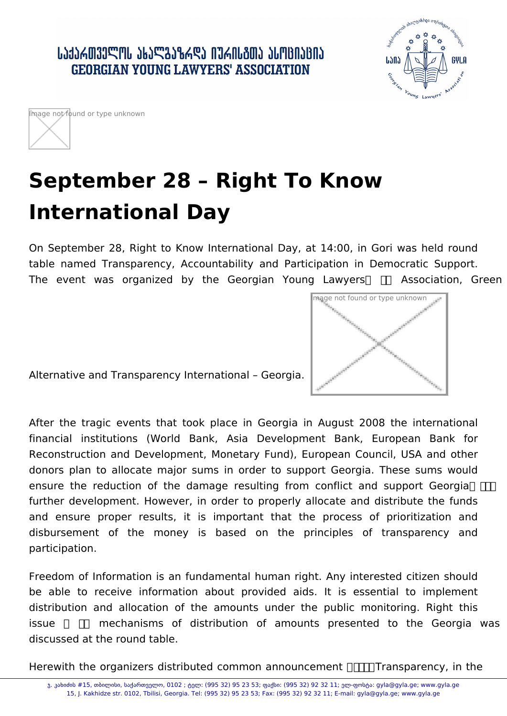



## **September 28 – Right To Know International Day**

On September 28, Right to Know International Day, at 14:00, in Gori was held round table named Transparency, Accountability and Participation in Democratic Support. The event was organized by the Georgian Young Lawyers  $\Box$  Association, Green



Alternative and Transparency International – Georgia.

After the tragic events that took place in Georgia in August 2008 the international financial institutions (World Bank, Asia Development Bank, European Bank for Reconstruction and Development, Monetary Fund), European Council, USA and other donors plan to allocate major sums in order to support Georgia. These sums would ensure the reduction of the damage resulting from conflict and support Georgia  $\Pi$ further development. However, in order to properly allocate and distribute the funds and ensure proper results, it is important that the process of prioritization and disbursement of the money is based on the principles of transparency and participation.

Freedom of Information is an fundamental human right. Any interested citizen should be able to receive information about provided aids. It is essential to implement distribution and allocation of the amounts under the public monitoring. Right this issue  $\Box$  mechanisms of distribution of amounts presented to the Georgia was discussed at the round table.

Herewith the organizers distributed common announcement  $\pi$ . Transparency, in the